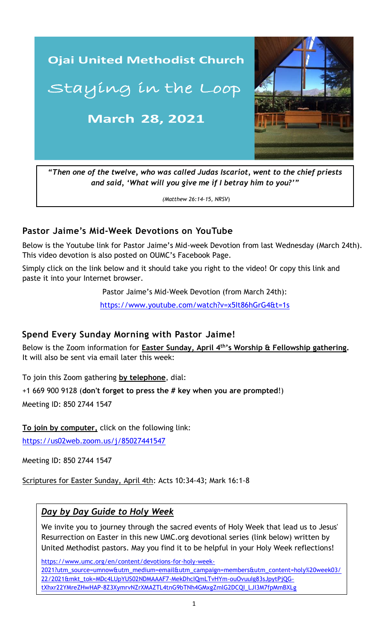

*and said, 'What will you give me if I betray him to you?'"*

*(Matthew 26:14-15, NRSV*)

## **Pastor Jaime's Mid-Week Devotions on YouTube**

Below is the Youtube link for Pastor Jaime's Mid-week Devotion from last Wednesday (March 24th). This video devotion is also posted on OUMC's Facebook Page.

Simply click on the link below and it should take you right to the video! Or copy this link and paste it into your Internet browser.

Pastor Jaime's Mid-Week Devotion (from March 24th):

 [https://www.youtube.com/watch?v=x5It86hGrG4&t=1s](https://www.youtube.com/watch?v=9a1adEVMI4U&t=6s)

#### **Spend Every Sunday Morning with Pastor Jaime!**

Below is the Zoom information for **Easter Sunday, April 4th's Worship & Fellowship gathering.** It will also be sent via email later this week:

To join this Zoom gathering **by telephone**, dial:

+1 669 900 9128 (**don't forget to press the # key when you are prompted**!) Meeting ID: 850 2744 1547

**To join by computer,** click on the following link:

<https://us02web.zoom.us/j/85027441547>

Meeting ID: 850 2744 1547

Scriptures for Easter Sunday, April 4th: Acts 10:34-43; Mark 16:1-8

## *Day by Day Guide to Holy Week*

We invite you to journey through the sacred events of Holy Week that lead us to Jesus' Resurrection on Easter in this new UMC.org devotional series (link below) written by United Methodist pastors. May you find it to be helpful in your Holy Week reflections!

[https://www.umc.org/en/content/devotions-for-holy-week-](https://www.umc.org/en/content/devotions-for-holy-week-2021?utm_source=umnow&utm_medium=email&utm_campaign=members&utm_content=holy%20week03/22/2021&mkt_tok=MDc4LUpYUS02NDMAAAF7-MekDhcIQmLTvHYm-ouOvuuIg83sJpytPjQG-tXhxr22YMreZHwHAP-8Z3XymrvNZrXMAZTL4tnG9bTNh4GMxgZmlG2DCQI_LJI3M7fpMmBXLg)[2021?utm\\_source=umnow&utm\\_medium=email&utm\\_campaign=members&utm\\_content=holy%20week03/](https://www.umc.org/en/content/devotions-for-holy-week-2021?utm_source=umnow&utm_medium=email&utm_campaign=members&utm_content=holy%20week03/22/2021&mkt_tok=MDc4LUpYUS02NDMAAAF7-MekDhcIQmLTvHYm-ouOvuuIg83sJpytPjQG-tXhxr22YMreZHwHAP-8Z3XymrvNZrXMAZTL4tnG9bTNh4GMxgZmlG2DCQI_LJI3M7fpMmBXLg) [22/2021&mkt\\_tok=MDc4LUpYUS02NDMAAAF7-MekDhcIQmLTvHYm-ouOvuuIg83sJpytPjQG](https://www.umc.org/en/content/devotions-for-holy-week-2021?utm_source=umnow&utm_medium=email&utm_campaign=members&utm_content=holy%20week03/22/2021&mkt_tok=MDc4LUpYUS02NDMAAAF7-MekDhcIQmLTvHYm-ouOvuuIg83sJpytPjQG-tXhxr22YMreZHwHAP-8Z3XymrvNZrXMAZTL4tnG9bTNh4GMxgZmlG2DCQI_LJI3M7fpMmBXLg)[tXhxr22YMreZHwHAP-8Z3XymrvNZrXMAZTL4tnG9bTNh4GMxgZmlG2DCQI\\_LJI3M7fpMmBXLg](https://www.umc.org/en/content/devotions-for-holy-week-2021?utm_source=umnow&utm_medium=email&utm_campaign=members&utm_content=holy%20week03/22/2021&mkt_tok=MDc4LUpYUS02NDMAAAF7-MekDhcIQmLTvHYm-ouOvuuIg83sJpytPjQG-tXhxr22YMreZHwHAP-8Z3XymrvNZrXMAZTL4tnG9bTNh4GMxgZmlG2DCQI_LJI3M7fpMmBXLg)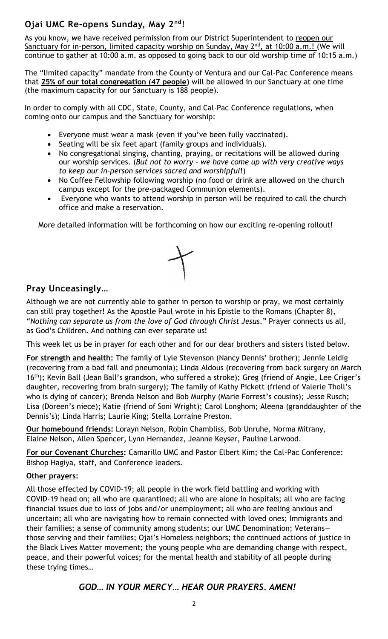## **Ojai UMC Re-opens Sunday, May 2nd!**

As you know, we have received permission from our District Superintendent to reopen our Sanctuary for in-person, limited capacity worship on Sunday, May 2<sup>nd</sup>, at 10:00 a.m.! (We will continue to gather at 10:00 a.m. as opposed to going back to our old worship time of 10:15 a.m.)

The "limited capacity" mandate from the County of Ventura and our Cal-Pac Conference means that **25% of our total congregation (47 people)** will be allowed in our Sanctuary at one time (the maximum capacity for our Sanctuary is 188 people).

In order to comply with all CDC, State, County, and Cal-Pac Conference regulations, when coming onto our campus and the Sanctuary for worship:

- Everyone must wear a mask (even if you've been fully vaccinated).
- Seating will be six feet apart (family groups and individuals).
- No congregational singing, chanting, praying, or recitations will be allowed during our worship services. (*But not to worry - we have come up with very creative ways to keep our in-person services sacred and worshipful*!)
- No Coffee Fellowship following worship (no food or drink are allowed on the church campus except for the pre-packaged Communion elements).
- Everyone who wants to attend worship in person will be required to call the church office and make a reservation.

More detailed information will be forthcoming on how our exciting re-opening rollout!



# **Pray Unceasingly…**

Although we are not currently able to gather in person to worship or pray, we most certainly can still pray together! As the Apostle Paul wrote in his Epistle to the Romans (Chapter 8), "*Nothing can separate us from the love of God through Christ Jesus*." Prayer connects us all, as God's Children. And nothing can ever separate us!

This week let us be in prayer for each other and for our dear brothers and sisters listed below.

**For strength and health:** The family of Lyle Stevenson (Nancy Dennis' brother); Jennie Leidig (recovering from a bad fall and pneumonia); Linda Aldous (recovering from back surgery on March 16<sup>th</sup>); Kevin Ball (Jean Ball's grandson, who suffered a stroke); Greg (friend of Angie, Lee Criger's daughter, recovering from brain surgery); The family of Kathy Pickett (friend of Valerie Tholl's who is dying of cancer); Brenda Nelson and Bob Murphy (Marie Forrest's cousins); Jesse Rusch; Lisa (Doreen's niece); Katie (friend of Soni Wright); Carol Longhom; Aleena (granddaughter of the Dennis's); Linda Harris; Laurie King; Stella Lorraine Preston.

**Our homebound friends:** Lorayn Nelson, Robin Chambliss, Bob Unruhe, Norma Mitrany, Elaine Nelson, Allen Spencer, Lynn Hernandez, Jeanne Keyser, Pauline Larwood.

**For our Covenant Churches:** Camarillo UMC and Pastor Elbert Kim; the Cal-Pac Conference: Bishop Hagiya, staff, and Conference leaders.

#### **Other prayers:**

those serving and their families; Ojai's Homeless neighbors; the continued actions of justice in All those effected by COVID-19; all people in the work field battling and working with COVID-19 head on; all who are quarantined; all who are alone in hospitals; all who are facing financial issues due to loss of jobs and/or unemployment; all who are feeling anxious and uncertain; all who are navigating how to remain connected with loved ones; Immigrants and their families; a sense of community among students; our UMC Denomination; Veterans the Black Lives Matter movement; the young people who are demanding change with respect, peace, and their powerful voices; for the mental health and stability of all people during these trying times…

#### *GOD… IN YOUR MERCY… HEAR OUR PRAYERS. AMEN!*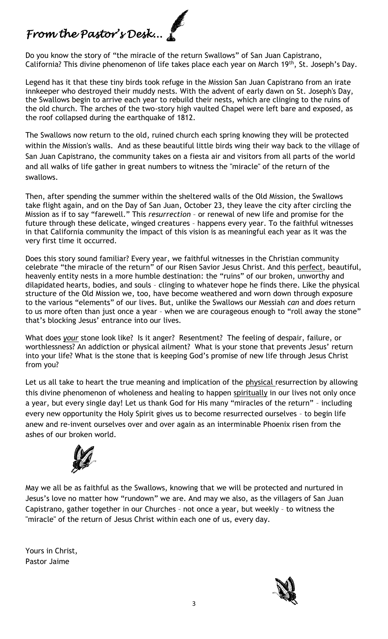# *From the Pastor's Desk...*

Do you know the story of "the miracle of the return Swallows" of San Juan Capistrano, California? This divine phenomenon of life takes place each year on March 19th, St. Joseph's Day.

Legend has it that these tiny birds took refuge in the Mission San Juan Capistrano from an irate innkeeper who destroyed their muddy nests. With the advent of early dawn on St. Joseph's Day, the Swallows begin to arrive each year to rebuild their nests, which are clinging to the ruins of the old church. The arches of the two-story high vaulted Chapel were left bare and exposed, as the roof collapsed during the earthquake of 1812.

The Swallows now return to the old, ruined church each spring knowing they will be protected within the Mission's walls. And as these beautiful little birds wing their way back to the village of San Juan Capistrano, the community takes on a fiesta air and visitors from all parts of the world and all walks of life gather in great numbers to witness the "miracle" of the return of the swallows.

Then, after spending the summer within the sheltered walls of the Old Mission, the Swallows take flight again, and on the Day of San Juan, October 23, they leave the city after circling the Mission as if to say "farewell." This *resurrection* – or renewal of new life and promise for the future through these delicate, winged creatures – happens every year. To the faithful witnesses in that California community the impact of this vision is as meaningful each year as it was the very first time it occurred.

Does this story sound familiar? Every year, we faithful witnesses in the Christian community celebrate "the miracle of the return" of our Risen Savior Jesus Christ. And this perfect, beautiful, heavenly entity nests in a more humble destination: the "ruins" of our broken, unworthy and dilapidated hearts, bodies, and souls – clinging to whatever hope he finds there. Like the physical structure of the Old Mission we, too, have become weathered and worn down through exposure to the various "elements" of our lives. But, unlike the Swallows our Messiah *can* and *does* return to us more often than just once a year – when we are courageous enough to "roll away the stone" that's blocking Jesus' entrance into our lives.

What does *your* stone look like? Is it anger? Resentment? The feeling of despair, failure, or worthlessness? An addiction or physical ailment? What is your stone that prevents Jesus' return into your life? What is the stone that is keeping God's promise of new life through Jesus Christ from you?

Let us all take to heart the true meaning and implication of the physical resurrection by allowing this divine phenomenon of wholeness and healing to happen spiritually in our lives not only once a year, but every single day! Let us thank God for His many "miracles of the return" – including every new opportunity the Holy Spirit gives us to become resurrected ourselves – to begin life anew and re-invent ourselves over and over again as an interminable Phoenix risen from the ashes of our broken world.



May we all be as faithful as the Swallows, knowing that we will be protected and nurtured in Jesus's love no matter how "rundown" we are. And may we also, as the villagers of San Juan Capistrano, gather together in our Churches – not once a year, but weekly – to witness the "miracle" of the return of Jesus Christ within each one of us, every day.

Yours in Christ, Pastor Jaime